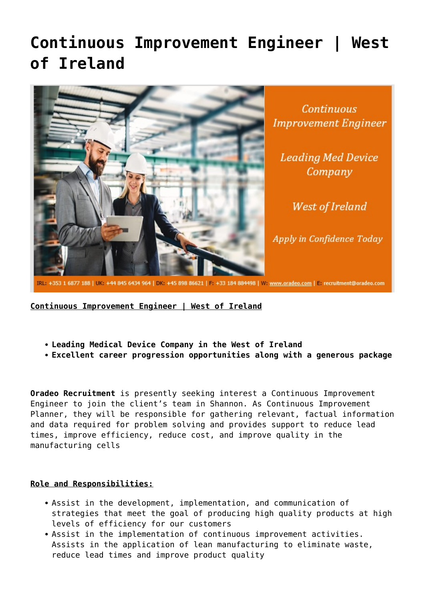## **[Continuous Improvement Engineer | West](https://oradeo.com/job/continuous-improvement-engineer-west-of-ireland/) [of Ireland](https://oradeo.com/job/continuous-improvement-engineer-west-of-ireland/)**



**Continuous Improvement Engineer** 

**Leading Med Device** Company

**West of Ireland** 

Apply in Confidence Today

IRL: +353 1 6877 188 | UK: +44 845 6434 964 | DK: +45 898 86621 | F: +33 184 884498 | W: www.oradeo.com | E: recruitment@oradeo.com

**Continuous Improvement Engineer | West of Ireland**

- **Leading Medical Device Company in the West of Ireland**
- **Excellent career progression opportunities along with a generous package**

**Oradeo Recruitment** is presently seeking interest a Continuous Improvement Engineer to join the client's team in Shannon. As Continuous Improvement Planner, they will be responsible for gathering relevant, factual information and data required for problem solving and provides support to reduce lead times, improve efficiency, reduce cost, and improve quality in the manufacturing cells

## **Role and Responsibilities:**

- Assist in the development, implementation, and communication of strategies that meet the goal of producing high quality products at high levels of efficiency for our customers
- Assist in the implementation of continuous improvement activities. Assists in the application of lean manufacturing to eliminate waste, reduce lead times and improve product quality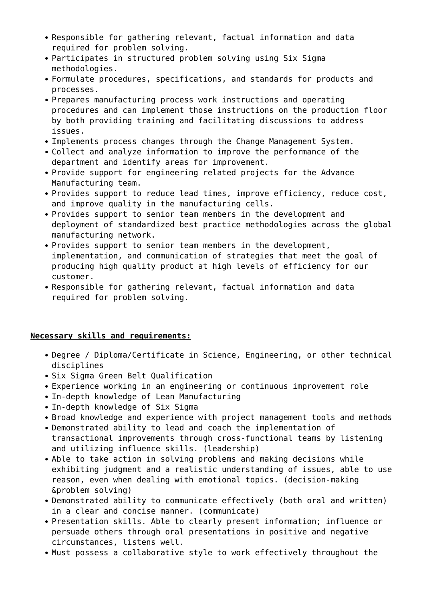- Responsible for gathering relevant, factual information and data required for problem solving.
- Participates in structured problem solving using Six Sigma methodologies.
- Formulate procedures, specifications, and standards for products and processes.
- Prepares manufacturing process work instructions and operating procedures and can implement those instructions on the production floor by both providing training and facilitating discussions to address issues.
- Implements process changes through the Change Management System.
- Collect and analyze information to improve the performance of the department and identify areas for improvement.
- Provide support for engineering related projects for the Advance Manufacturing team.
- Provides support to reduce lead times, improve efficiency, reduce cost, and improve quality in the manufacturing cells.
- Provides support to senior team members in the development and deployment of standardized best practice methodologies across the global manufacturing network.
- Provides support to senior team members in the development, implementation, and communication of strategies that meet the goal of producing high quality product at high levels of efficiency for our customer.
- Responsible for gathering relevant, factual information and data required for problem solving.

## **Necessary skills and requirements:**

- Degree / Diploma/Certificate in Science, Engineering, or other technical disciplines
- Six Sigma Green Belt Qualification
- Experience working in an engineering or continuous improvement role
- In-depth knowledge of Lean Manufacturing
- In-depth knowledge of Six Sigma
- Broad knowledge and experience with project management tools and methods
- Demonstrated ability to lead and coach the implementation of transactional improvements through cross-functional teams by listening and utilizing influence skills. (leadership)
- Able to take action in solving problems and making decisions while exhibiting judgment and a realistic understanding of issues, able to use reason, even when dealing with emotional topics. (decision-making &problem solving)
- Demonstrated ability to communicate effectively (both oral and written) in a clear and concise manner. (communicate)
- Presentation skills. Able to clearly present information; influence or persuade others through oral presentations in positive and negative circumstances, listens well.
- Must possess a collaborative style to work effectively throughout the